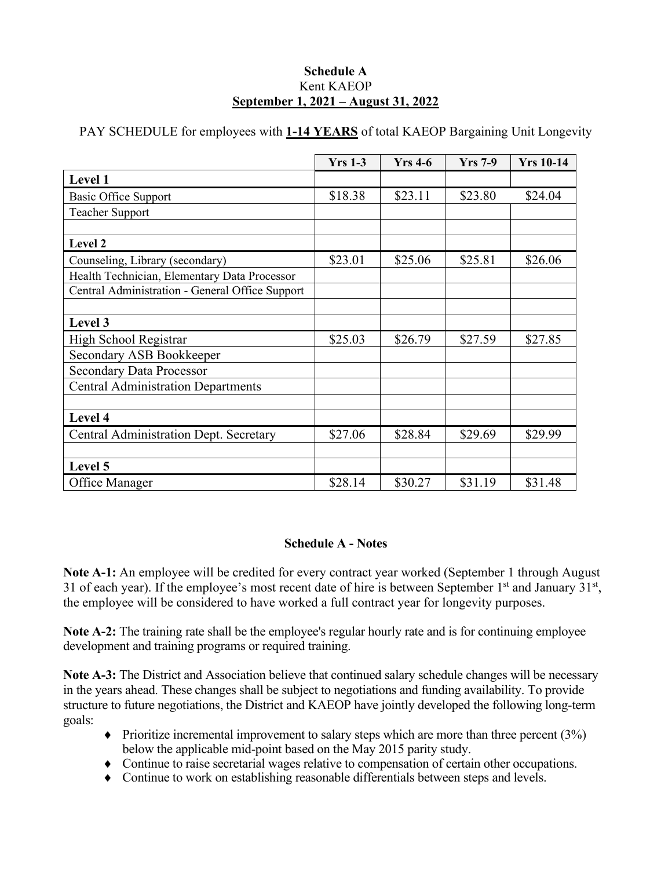#### **Schedule A** Kent KAEOP **September 1, 2021 – August 31, 2022**

PAY SCHEDULE for employees with **1-14 YEARS** of total KAEOP Bargaining Unit Longevity

|                                                 | <b>Yrs 1-3</b> | $Yrs$ 4-6 | $Yrs$ 7-9 | <b>Yrs 10-14</b> |
|-------------------------------------------------|----------------|-----------|-----------|------------------|
| Level 1                                         |                |           |           |                  |
| <b>Basic Office Support</b>                     | \$18.38        | \$23.11   | \$23.80   | \$24.04          |
| <b>Teacher Support</b>                          |                |           |           |                  |
|                                                 |                |           |           |                  |
| Level 2                                         |                |           |           |                  |
| Counseling, Library (secondary)                 | \$23.01        | \$25.06   | \$25.81   | \$26.06          |
| Health Technician, Elementary Data Processor    |                |           |           |                  |
| Central Administration - General Office Support |                |           |           |                  |
|                                                 |                |           |           |                  |
| Level 3                                         |                |           |           |                  |
| High School Registrar                           | \$25.03        | \$26.79   | \$27.59   | \$27.85          |
| Secondary ASB Bookkeeper                        |                |           |           |                  |
| <b>Secondary Data Processor</b>                 |                |           |           |                  |
| <b>Central Administration Departments</b>       |                |           |           |                  |
|                                                 |                |           |           |                  |
| Level 4                                         |                |           |           |                  |
| Central Administration Dept. Secretary          | \$27.06        | \$28.84   | \$29.69   | \$29.99          |
|                                                 |                |           |           |                  |
| Level 5                                         |                |           |           |                  |
| Office Manager                                  | \$28.14        | \$30.27   | \$31.19   | \$31.48          |

## **Schedule A - Notes**

**Note A-1:** An employee will be credited for every contract year worked (September 1 through August 31 of each year). If the employee's most recent date of hire is between September  $1<sup>st</sup>$  and January 31 $<sup>st</sup>$ ,</sup> the employee will be considered to have worked a full contract year for longevity purposes.

Note A-2: The training rate shall be the employee's regular hourly rate and is for continuing employee development and training programs or required training.

**Note A-3:** The District and Association believe that continued salary schedule changes will be necessary in the years ahead. These changes shall be subject to negotiations and funding availability. To provide structure to future negotiations, the District and KAEOP have jointly developed the following long-term goals:

- $\blacklozenge$  Prioritize incremental improvement to salary steps which are more than three percent (3%) below the applicable mid-point based on the May 2015 parity study.
- ♦ Continue to raise secretarial wages relative to compensation of certain other occupations.
- ♦ Continue to work on establishing reasonable differentials between steps and levels.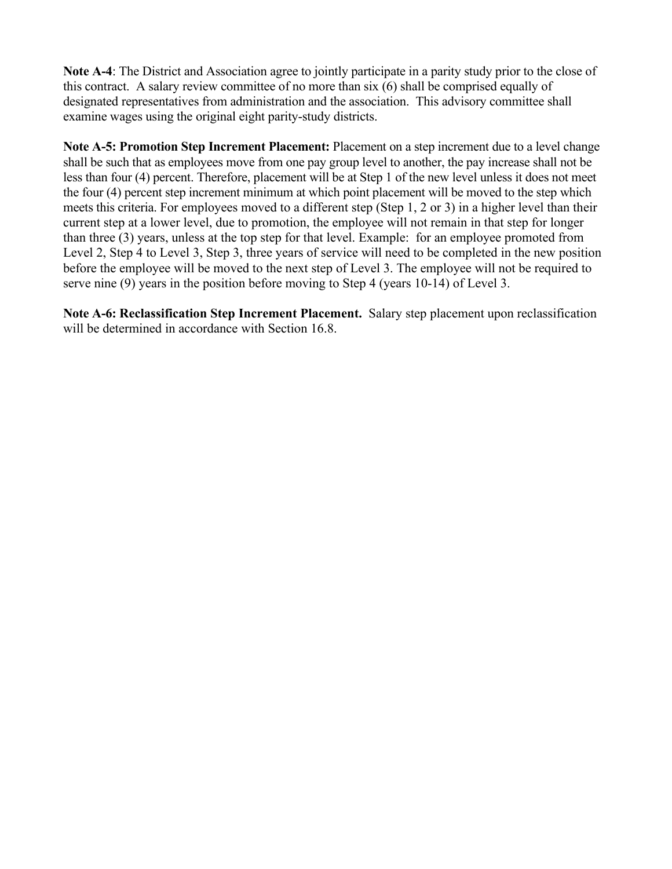**Note A-4**: The District and Association agree to jointly participate in a parity study prior to the close of this contract. A salary review committee of no more than six (6) shall be comprised equally of designated representatives from administration and the association. This advisory committee shall examine wages using the original eight parity-study districts.

**Note A-5: Promotion Step Increment Placement:** Placement on a step increment due to a level change shall be such that as employees move from one pay group level to another, the pay increase shall not be less than four (4) percent. Therefore, placement will be at Step 1 of the new level unless it does not meet the four (4) percent step increment minimum at which point placement will be moved to the step which meets this criteria. For employees moved to a different step (Step 1, 2 or 3) in a higher level than their current step at a lower level, due to promotion, the employee will not remain in that step for longer than three (3) years, unless at the top step for that level. Example: for an employee promoted from Level 2, Step 4 to Level 3, Step 3, three years of service will need to be completed in the new position before the employee will be moved to the next step of Level 3. The employee will not be required to serve nine (9) years in the position before moving to Step 4 (years 10-14) of Level 3.

**Note A-6: Reclassification Step Increment Placement.** Salary step placement upon reclassification will be determined in accordance with Section 16.8.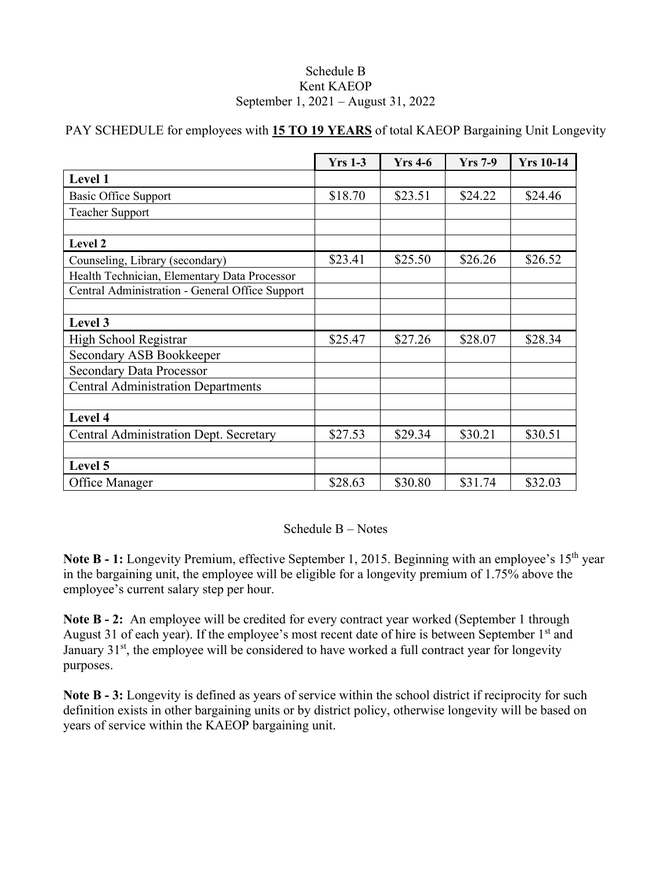#### Schedule B Kent KAEOP September 1, 2021 – August 31, 2022

|                                                 | <b>Yrs 1-3</b> | $Yrs$ 4-6 | <b>Yrs</b> 7-9 | <b>Yrs 10-14</b> |
|-------------------------------------------------|----------------|-----------|----------------|------------------|
| Level 1                                         |                |           |                |                  |
| <b>Basic Office Support</b>                     | \$18.70        | \$23.51   | \$24.22        | \$24.46          |
| <b>Teacher Support</b>                          |                |           |                |                  |
|                                                 |                |           |                |                  |
| Level 2                                         |                |           |                |                  |
| Counseling, Library (secondary)                 | \$23.41        | \$25.50   | \$26.26        | \$26.52          |
| Health Technician, Elementary Data Processor    |                |           |                |                  |
| Central Administration - General Office Support |                |           |                |                  |
|                                                 |                |           |                |                  |
| Level 3                                         |                |           |                |                  |
| High School Registrar                           | \$25.47        | \$27.26   | \$28.07        | \$28.34          |
| Secondary ASB Bookkeeper                        |                |           |                |                  |
| <b>Secondary Data Processor</b>                 |                |           |                |                  |
| <b>Central Administration Departments</b>       |                |           |                |                  |
|                                                 |                |           |                |                  |
| Level 4                                         |                |           |                |                  |
| <b>Central Administration Dept. Secretary</b>   | \$27.53        | \$29.34   | \$30.21        | \$30.51          |
|                                                 |                |           |                |                  |
| Level 5                                         |                |           |                |                  |
| Office Manager                                  | \$28.63        | \$30.80   | \$31.74        | \$32.03          |

PAY SCHEDULE for employees with **15 TO 19 YEARS** of total KAEOP Bargaining Unit Longevity

Schedule B – Notes

**Note B - 1:** Longevity Premium, effective September 1, 2015. Beginning with an employee's 15<sup>th</sup> year in the bargaining unit, the employee will be eligible for a longevity premium of 1.75% above the employee's current salary step per hour.

**Note B - 2:** An employee will be credited for every contract year worked (September 1 through August 31 of each year). If the employee's most recent date of hire is between September 1<sup>st</sup> and January  $31<sup>st</sup>$ , the employee will be considered to have worked a full contract year for longevity purposes.

**Note B - 3:** Longevity is defined as years of service within the school district if reciprocity for such definition exists in other bargaining units or by district policy, otherwise longevity will be based on years of service within the KAEOP bargaining unit.